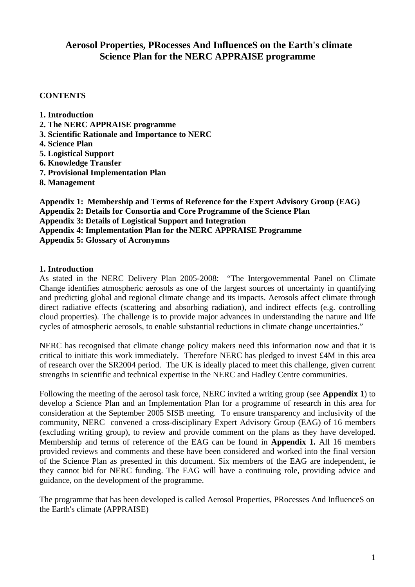# **Aerosol Properties, PRocesses And InfluenceS on the Earth's climate Science Plan for the NERC APPRAISE programme**

## **CONTENTS**

- **1. Introduction**
- **2. The NERC APPRAISE programme**
- **3. Scientific Rationale and Importance to NERC**
- **4. Science Plan**
- **5. Logistical Support**
- **6. Knowledge Transfer**
- **7. Provisional Implementation Plan**
- **8. Management**

**Appendix 1: Membership and Terms of Reference for the Expert Advisory Group (EAG) Appendix 2: Details for Consortia and Core Programme of the Science Plan Appendix 3: Details of Logistical Support and Integration Appendix 4: Implementation Plan for the NERC APPRAISE Programme Appendix 5: Glossary of Acronymns** 

## **1. Introduction**

As stated in the NERC Delivery Plan 2005-2008: "The Intergovernmental Panel on Climate Change identifies atmospheric aerosols as one of the largest sources of uncertainty in quantifying and predicting global and regional climate change and its impacts. Aerosols affect climate through direct radiative effects (scattering and absorbing radiation), and indirect effects (e.g. controlling cloud properties). The challenge is to provide major advances in understanding the nature and life cycles of atmospheric aerosols, to enable substantial reductions in climate change uncertainties."

NERC has recognised that climate change policy makers need this information now and that it is critical to initiate this work immediately. Therefore NERC has pledged to invest £4M in this area of research over the SR2004 period. The UK is ideally placed to meet this challenge, given current strengths in scientific and technical expertise in the NERC and Hadley Centre communities.

Following the meeting of the aerosol task force, NERC invited a writing group (see **Appendix 1**) to develop a Science Plan and an Implementation Plan for a programme of research in this area for consideration at the September 2005 SISB meeting. To ensure transparency and inclusivity of the community, NERC convened a cross-disciplinary Expert Advisory Group (EAG) of 16 members (excluding writing group), to review and provide comment on the plans as they have developed. Membership and terms of reference of the EAG can be found in **Appendix 1.** All 16 members provided reviews and comments and these have been considered and worked into the final version of the Science Plan as presented in this document. Six members of the EAG are independent, ie they cannot bid for NERC funding. The EAG will have a continuing role, providing advice and guidance, on the development of the programme.

The programme that has been developed is called Aerosol Properties, PRocesses And InfluenceS on the Earth's climate (APPRAISE)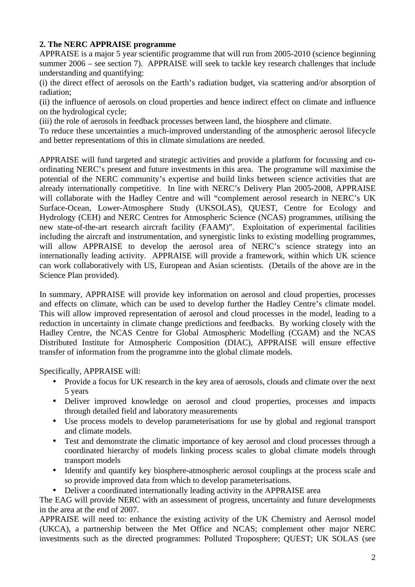## **2. The NERC APPRAISE programme**

APPRAISE is a major 5 year scientific programme that will run from 2005-2010 (science beginning summer 2006 – see section 7). APPRAISE will seek to tackle key research challenges that include understanding and quantifying:

(i) the direct effect of aerosols on the Earth's radiation budget, via scattering and/or absorption of radiation;

(ii) the influence of aerosols on cloud properties and hence indirect effect on climate and influence on the hydrological cycle;

(iii) the role of aerosols in feedback processes between land, the biosphere and climate.

To reduce these uncertainties a much-improved understanding of the atmospheric aerosol lifecycle and better representations of this in climate simulations are needed.

APPRAISE will fund targeted and strategic activities and provide a platform for focussing and coordinating NERC's present and future investments in this area. The programme will maximise the potential of the NERC community's expertise and build links between science activities that are already internationally competitive. In line with NERC's Delivery Plan 2005-2008, APPRAISE will collaborate with the Hadley Centre and will "complement aerosol research in NERC's UK Surface-Ocean, Lower-Atmosphere Study (UKSOLAS), QUEST, Centre for Ecology and Hydrology (CEH) and NERC Centres for Atmospheric Science (NCAS) programmes, utilising the new state-of-the-art research aircraft facility (FAAM)". Exploitation of experimental facilities including the aircraft and instrumentation, and synergistic links to existing modelling programmes, will allow APPRAISE to develop the aerosol area of NERC's science strategy into an internationally leading activity. APPRAISE will provide a framework, within which UK science can work collaboratively with US, European and Asian scientists. (Details of the above are in the Science Plan provided).

In summary, APPRAISE will provide key information on aerosol and cloud properties, processes and effects on climate, which can be used to develop further the Hadley Centre's climate model. This will allow improved representation of aerosol and cloud processes in the model, leading to a reduction in uncertainty in climate change predictions and feedbacks. By working closely with the Hadley Centre, the NCAS Centre for Global Atmospheric Modelling (CGAM) and the NCAS Distributed Institute for Atmospheric Composition (DIAC), APPRAISE will ensure effective transfer of information from the programme into the global climate models.

Specifically, APPRAISE will:

- Provide a focus for UK research in the key area of aerosols, clouds and climate over the next 5 years
- Deliver improved knowledge on aerosol and cloud properties, processes and impacts through detailed field and laboratory measurements
- Use process models to develop parameterisations for use by global and regional transport and climate models.
- Test and demonstrate the climatic importance of key aerosol and cloud processes through a coordinated hierarchy of models linking process scales to global climate models through transport models
- Identify and quantify key biosphere-atmospheric aerosol couplings at the process scale and so provide improved data from which to develop parameterisations.
- Deliver a coordinated internationally leading activity in the APPRAISE area

The EAG will provide NERC with an assessment of progress, uncertainty and future developments in the area at the end of 2007.

APPRAISE will need to: enhance the existing activity of the UK Chemistry and Aerosol model (UKCA), a partnership between the Met Office and NCAS; complement other major NERC investments such as the directed programmes: Polluted Troposphere; QUEST; UK SOLAS (see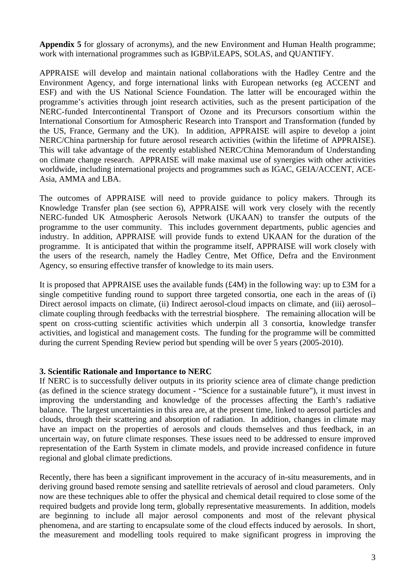**Appendix 5** for glossary of acronyms), and the new Environment and Human Health programme; work with international programmes such as IGBP/iLEAPS, SOLAS, and QUANTIFY.

APPRAISE will develop and maintain national collaborations with the Hadley Centre and the Environment Agency, and forge international links with European networks (eg ACCENT and ESF) and with the US National Science Foundation. The latter will be encouraged within the programme's activities through joint research activities, such as the present participation of the NERC-funded Intercontinental Transport of Ozone and its Precursors consortium within the International Consortium for Atmospheric Research into Transport and Transformation (funded by the US, France, Germany and the UK). In addition, APPRAISE will aspire to develop a joint NERC/China partnership for future aerosol research activities (within the lifetime of APPRAISE). This will take advantage of the recently established NERC/China Memorandum of Understanding on climate change research. APPRAISE will make maximal use of synergies with other activities worldwide, including international projects and programmes such as IGAC, GEIA/ACCENT, ACE-Asia, AMMA and LBA.

The outcomes of APPRAISE will need to provide guidance to policy makers. Through its Knowledge Transfer plan (see section 6), APPRAISE will work very closely with the recently NERC-funded UK Atmospheric Aerosols Network (UKAAN) to transfer the outputs of the programme to the user community. This includes government departments, public agencies and industry. In addition, APPRAISE will provide funds to extend UKAAN for the duration of the programme. It is anticipated that within the programme itself, APPRAISE will work closely with the users of the research, namely the Hadley Centre, Met Office, Defra and the Environment Agency, so ensuring effective transfer of knowledge to its main users.

It is proposed that APPRAISE uses the available funds (£4M) in the following way: up to £3M for a single competitive funding round to support three targeted consortia, one each in the areas of (i) Direct aerosol impacts on climate, (ii) Indirect aerosol-cloud impacts on climate, and (iii) aerosolclimate coupling through feedbacks with the terrestrial biosphere. The remaining allocation will be spent on cross-cutting scientific activities which underpin all 3 consortia, knowledge transfer activities, and logistical and management costs. The funding for the programme will be committed during the current Spending Review period but spending will be over 5 years (2005-2010).

#### **3. Scientific Rationale and Importance to NERC**

If NERC is to successfully deliver outputs in its priority science area of climate change prediction (as defined in the science strategy document - "Science for a sustainable future"), it must invest in improving the understanding and knowledge of the processes affecting the Earth's radiative balance. The largest uncertainties in this area are, at the present time, linked to aerosol particles and clouds, through their scattering and absorption of radiation. In addition, changes in climate may have an impact on the properties of aerosols and clouds themselves and thus feedback, in an uncertain way, on future climate responses. These issues need to be addressed to ensure improved representation of the Earth System in climate models, and provide increased confidence in future regional and global climate predictions.

Recently, there has been a significant improvement in the accuracy of in-situ measurements, and in deriving ground based remote sensing and satellite retrievals of aerosol and cloud parameters. Only now are these techniques able to offer the physical and chemical detail required to close some of the required budgets and provide long term, globally representative measurements. In addition, models are beginning to include all major aerosol components and most of the relevant physical phenomena, and are starting to encapsulate some of the cloud effects induced by aerosols. In short, the measurement and modelling tools required to make significant progress in improving the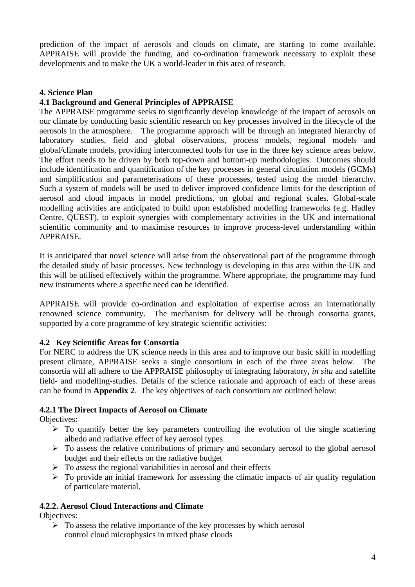prediction of the impact of aerosols and clouds on climate, are starting to come available. APPRAISE will provide the funding, and co-ordination framework necessary to exploit these developments and to make the UK a world-leader in this area of research.

#### **4. Science Plan**

#### **4.1 Background and General Principles of APPRAISE**

The APPRAISE programme seeks to significantly develop knowledge of the impact of aerosols on our climate by conducting basic scientific research on key processes involved in the lifecycle of the aerosols in the atmosphere. The programme approach will be through an integrated hierarchy of laboratory studies, field and global observations, process models, regional models and global/climate models, providing interconnected tools for use in the three key science areas below. The effort needs to be driven by both top-down and bottom-up methodologies. Outcomes should include identification and quantification of the key processes in general circulation models (GCMs) and simplification and parameterisations of these processes, tested using the model hierarchy. Such a system of models will be used to deliver improved confidence limits for the description of aerosol and cloud impacts in model predictions, on global and regional scales. Global-scale modelling activities are anticipated to build upon established modelling frameworks (e.g. Hadley Centre, QUEST), to exploit synergies with complementary activities in the UK and international scientific community and to maximise resources to improve process-level understanding within APPRAISE.

It is anticipated that novel science will arise from the observational part of the programme through the detailed study of basic processes. New technology is developing in this area within the UK and this will be utilised effectively within the programme. Where appropriate, the programme may fund new instruments where a specific need can be identified.

APPRAISE will provide co-ordination and exploitation of expertise across an internationally renowned science community. The mechanism for delivery will be through consortia grants, supported by a core programme of key strategic scientific activities:

### **4.2 Key Scientific Areas for Consortia**

For NERC to address the UK science needs in this area and to improve our basic skill in modelling present climate, APPRAISE seeks a single consortium in each of the three areas below. The consortia will all adhere to the APPRAISE philosophy of integrating laboratory, *in situ* and satellite field- and modelling-studies. Details of the science rationale and approach of each of these areas can be found in **Appendix 2**. The key objectives of each consortium are outlined below:

#### **4.2.1 The Direct Impacts of Aerosol on Climate**

Objectives:

- $\triangleright$  To quantify better the key parameters controlling the evolution of the single scattering albedo and radiative effect of key aerosol types
- $\triangleright$  To assess the relative contributions of primary and secondary aerosol to the global aerosol budget and their effects on the radiative budget
- $\triangleright$  To assess the regional variabilities in aerosol and their effects
- $\triangleright$  To provide an initial framework for assessing the climatic impacts of air quality regulation of particulate material.

#### **4.2.2. Aerosol Cloud Interactions and Climate**

Objectives:

 $\triangleright$  To assess the relative importance of the key processes by which aerosol control cloud microphysics in mixed phase clouds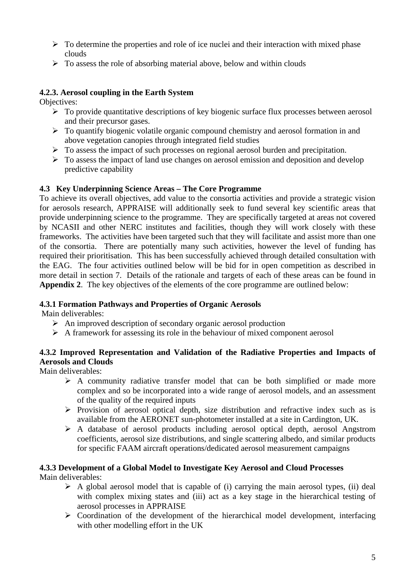- $\triangleright$  To determine the properties and role of ice nuclei and their interaction with mixed phase clouds
- $\triangleright$  To assess the role of absorbing material above, below and within clouds

# **4.2.3. Aerosol coupling in the Earth System**

Objectives:

- $\triangleright$  To provide quantitative descriptions of key biogenic surface flux processes between aerosol and their precursor gases.
- $\triangleright$  To quantify biogenic volatile organic compound chemistry and aerosol formation in and above vegetation canopies through integrated field studies
- $\triangleright$  To assess the impact of such processes on regional aerosol burden and precipitation.
- $\triangleright$  To assess the impact of land use changes on aerosol emission and deposition and develop predictive capability

## **4.3 Key Underpinning Science Areas – The Core Programme**

To achieve its overall objectives, add value to the consortia activities and provide a strategic vision for aerosols research, APPRAISE will additionally seek to fund several key scientific areas that provide underpinning science to the programme. They are specifically targeted at areas not covered by NCASII and other NERC institutes and facilities, though they will work closely with these frameworks. The activities have been targeted such that they will facilitate and assist more than one of the consortia. There are potentially many such activities, however the level of funding has required their prioritisation. This has been successfully achieved through detailed consultation with the EAG. The four activities outlined below will be bid for in open competition as described in more detail in section 7. Details of the rationale and targets of each of these areas can be found in **Appendix 2**. The key objectives of the elements of the core programme are outlined below:

# **4.3.1 Formation Pathways and Properties of Organic Aerosols**

Main deliverables:

- $\triangleright$  An improved description of secondary organic aerosol production
- $\triangleright$  A framework for assessing its role in the behaviour of mixed component aerosol

# **4.3.2 Improved Representation and Validation of the Radiative Properties and Impacts of Aerosols and Clouds**

Main deliverables:

- $\triangleright$  A community radiative transfer model that can be both simplified or made more complex and so be incorporated into a wide range of aerosol models, and an assessment of the quality of the required inputs
- $\triangleright$  Provision of aerosol optical depth, size distribution and refractive index such as is available from the AERONET sun-photometer installed at a site in Cardington, UK.
- $\triangleright$  A database of aerosol products including aerosol optical depth, aerosol Angstrom coefficients, aerosol size distributions, and single scattering albedo, and similar products for specific FAAM aircraft operations/dedicated aerosol measurement campaigns

#### **4.3.3 Development of a Global Model to Investigate Key Aerosol and Cloud Processes**  Main deliverables:

- $\triangleright$  A global aerosol model that is capable of (i) carrying the main aerosol types, (ii) deal with complex mixing states and (iii) act as a key stage in the hierarchical testing of aerosol processes in APPRAISE
- $\triangleright$  Coordination of the development of the hierarchical model development, interfacing with other modelling effort in the UK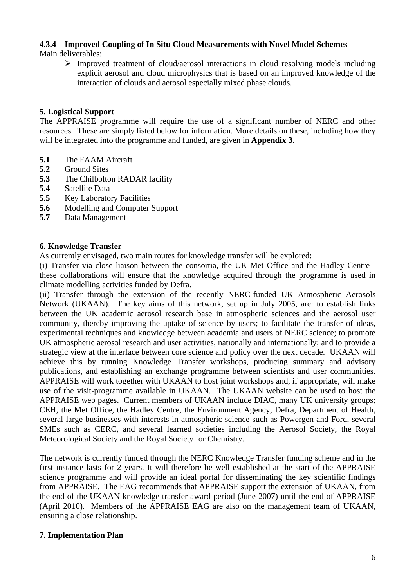# **4.3.4 Improved Coupling of In Situ Cloud Measurements with Novel Model Schemes**

Main deliverables:

 $\triangleright$  Improved treatment of cloud/aerosol interactions in cloud resolving models including explicit aerosol and cloud microphysics that is based on an improved knowledge of the interaction of clouds and aerosol especially mixed phase clouds.

# **5. Logistical Support**

The APPRAISE programme will require the use of a significant number of NERC and other resources. These are simply listed below for information. More details on these, including how they will be integrated into the programme and funded, are given in **Appendix 3**.

- **5.1** The FAAM Aircraft
- **5.2** Ground Sites
- **5.3** The Chilbolton RADAR facility
- **5.4** Satellite Data
- **5.5** Key Laboratory Facilities
- **5.6** Modelling and Computer Support
- **5.7** Data Management

### **6. Knowledge Transfer**

As currently envisaged, two main routes for knowledge transfer will be explored:

(i) Transfer via close liaison between the consortia, the UK Met Office and the Hadley Centre these collaborations will ensure that the knowledge acquired through the programme is used in climate modelling activities funded by Defra.

(ii) Transfer through the extension of the recently NERC-funded UK Atmospheric Aerosols Network (UKAAN). The key aims of this network, set up in July 2005, are: to establish links between the UK academic aerosol research base in atmospheric sciences and the aerosol user community, thereby improving the uptake of science by users; to facilitate the transfer of ideas, experimental techniques and knowledge between academia and users of NERC science; to promote UK atmospheric aerosol research and user activities, nationally and internationally; and to provide a strategic view at the interface between core science and policy over the next decade. UKAAN will achieve this by running Knowledge Transfer workshops, producing summary and advisory publications, and establishing an exchange programme between scientists and user communities. APPRAISE will work together with UKAAN to host joint workshops and, if appropriate, will make use of the visit-programme available in UKAAN. The UKAAN website can be used to host the APPRAISE web pages. Current members of UKAAN include DIAC, many UK university groups; CEH, the Met Office, the Hadley Centre, the Environment Agency, Defra, Department of Health, several large businesses with interests in atmospheric science such as Powergen and Ford, several SMEs such as CERC, and several learned societies including the Aerosol Society, the Royal Meteorological Society and the Royal Society for Chemistry.

The network is currently funded through the NERC Knowledge Transfer funding scheme and in the first instance lasts for 2 years. It will therefore be well established at the start of the APPRAISE science programme and will provide an ideal portal for disseminating the key scientific findings from APPRAISE. The EAG recommends that APPRAISE support the extension of UKAAN, from the end of the UKAAN knowledge transfer award period (June 2007) until the end of APPRAISE (April 2010). Members of the APPRAISE EAG are also on the management team of UKAAN, ensuring a close relationship.

### **7. Implementation Plan**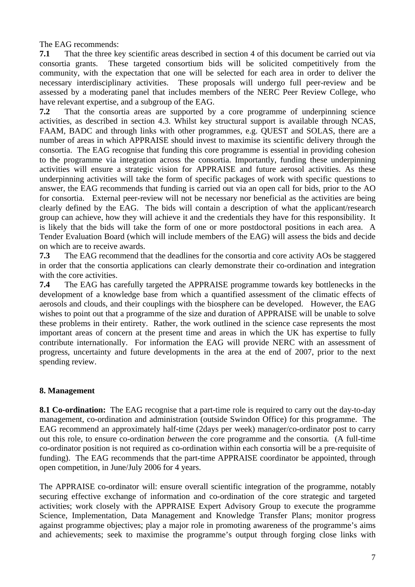The EAG recommends:

**7.1** That the three key scientific areas described in section 4 of this document be carried out via consortia grants. These targeted consortium bids will be solicited competitively from the community, with the expectation that one will be selected for each area in order to deliver the necessary interdisciplinary activities. These proposals will undergo full peer-review and be assessed by a moderating panel that includes members of the NERC Peer Review College, who have relevant expertise, and a subgroup of the EAG.

**7.2** That the consortia areas are supported by a core programme of underpinning science activities, as described in section 4.3. Whilst key structural support is available through NCAS, FAAM, BADC and through links with other programmes, e.g. QUEST and SOLAS, there are a number of areas in which APPRAISE should invest to maximise its scientific delivery through the consortia. The EAG recognise that funding this core programme is essential in providing cohesion to the programme via integration across the consortia. Importantly, funding these underpinning activities will ensure a strategic vision for APPRAISE and future aerosol activities. As these underpinning activities will take the form of specific packages of work with specific questions to answer, the EAG recommends that funding is carried out via an open call for bids, prior to the AO for consortia. External peer-review will not be necessary nor beneficial as the activities are being clearly defined by the EAG. The bids will contain a description of what the applicant/research group can achieve, how they will achieve it and the credentials they have for this responsibility. It is likely that the bids will take the form of one or more postdoctoral positions in each area. A Tender Evaluation Board (which will include members of the EAG) will assess the bids and decide on which are to receive awards.

**7.3** The EAG recommend that the deadlines for the consortia and core activity AOs be staggered in order that the consortia applications can clearly demonstrate their co-ordination and integration with the core activities.

**7.4** The EAG has carefully targeted the APPRAISE programme towards key bottlenecks in the development of a knowledge base from which a quantified assessment of the climatic effects of aerosols and clouds, and their couplings with the biosphere can be developed. However, the EAG wishes to point out that a programme of the size and duration of APPRAISE will be unable to solve these problems in their entirety. Rather, the work outlined in the science case represents the most important areas of concern at the present time and areas in which the UK has expertise to fully contribute internationally. For information the EAG will provide NERC with an assessment of progress, uncertainty and future developments in the area at the end of 2007, prior to the next spending review.

### **8. Management**

**8.1 Co-ordination:** The EAG recognise that a part-time role is required to carry out the day-to-day management, co-ordination and administration (outside Swindon Office) for this programme. The EAG recommend an approximately half-time (2days per week) manager/co-ordinator post to carry out this role, to ensure co-ordination *between* the core programme and the consortia*.* (A full-time co-ordinator position is not required as co-ordination within each consortia will be a pre-requisite of funding). The EAG recommends that the part-time APPRAISE coordinator be appointed, through open competition, in June/July 2006 for 4 years.

The APPRAISE co-ordinator will: ensure overall scientific integration of the programme, notably securing effective exchange of information and co-ordination of the core strategic and targeted activities; work closely with the APPRAISE Expert Advisory Group to execute the programme Science, Implementation, Data Management and Knowledge Transfer Plans; monitor progress against programme objectives; play a major role in promoting awareness of the programme's aims and achievements; seek to maximise the programme's output through forging close links with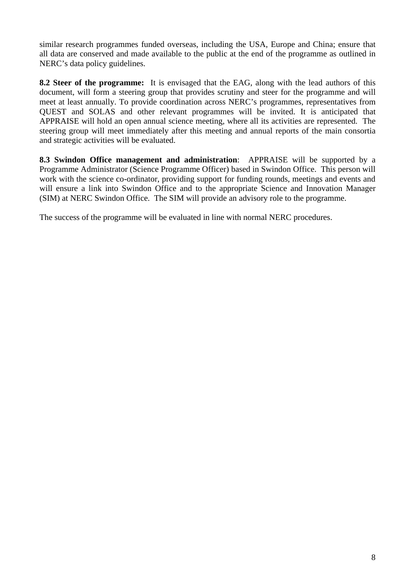similar research programmes funded overseas, including the USA, Europe and China; ensure that all data are conserved and made available to the public at the end of the programme as outlined in NERC's data policy guidelines.

**8.2 Steer of the programme:** It is envisaged that the EAG, along with the lead authors of this document, will form a steering group that provides scrutiny and steer for the programme and will meet at least annually. To provide coordination across NERC's programmes, representatives from QUEST and SOLAS and other relevant programmes will be invited. It is anticipated that APPRAISE will hold an open annual science meeting, where all its activities are represented. The steering group will meet immediately after this meeting and annual reports of the main consortia and strategic activities will be evaluated.

**8.3 Swindon Office management and administration**: APPRAISE will be supported by a Programme Administrator (Science Programme Officer) based in Swindon Office. This person will work with the science co-ordinator, providing support for funding rounds, meetings and events and will ensure a link into Swindon Office and to the appropriate Science and Innovation Manager (SIM) at NERC Swindon Office. The SIM will provide an advisory role to the programme.

The success of the programme will be evaluated in line with normal NERC procedures.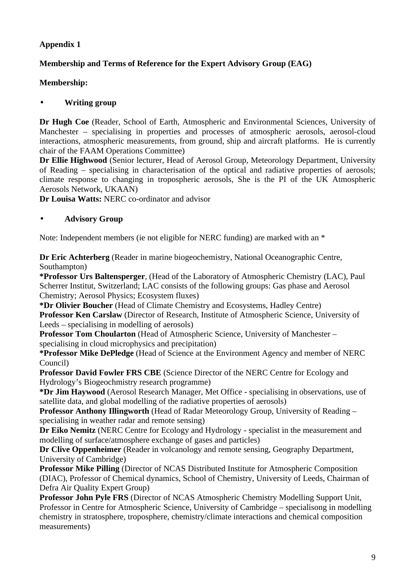# **Membership and Terms of Reference for the Expert Advisory Group (EAG)**

## **Membership:**

## • **Writing group**

**Dr Hugh Coe** (Reader, School of Earth, Atmospheric and Environmental Sciences, University of Manchester – specialising in properties and processes of atmospheric aerosols, aerosol-cloud interactions, atmospheric measurements, from ground, ship and aircraft platforms. He is currently chair of the FAAM Operations Committee)

**Dr Ellie Highwood** (Senior lecturer, Head of Aerosol Group, Meteorology Department, University of Reading – specialising in characterisation of the optical and radiative properties of aerosols; climate response to changing in tropospheric aerosols, She is the PI of the UK Atmospheric Aerosols Network, UKAAN)

**Dr Louisa Watts:** NERC co-ordinator and advisor

## • **Advisory Group**

Note: Independent members (ie not eligible for NERC funding) are marked with an \*

**Dr Eric Achterberg** (Reader in marine biogeochemistry, National Oceanographic Centre, Southampton)

**\*Professor Urs Baltensperger**, (Head of the Laboratory of Atmospheric Chemistry (LAC), Paul Scherrer Institut, Switzerland; LAC consists of the following groups: Gas phase and Aerosol Chemistry; Aerosol Physics; Ecosystem fluxes)

**\*Dr Olivier Boucher** (Head of Climate Chemistry and Ecosystems, Hadley Centre) **Professor Ken Carslaw** (Director of Research, Institute of Atmospheric Science, University of Leeds – specialising in modelling of aerosols)

**Professor Tom Choularton** (Head of Atmospheric Science, University of Manchester – specialising in cloud microphysics and precipitation)

**\*Professor Mike DePledge** (Head of Science at the Environment Agency and member of NERC Council)

**Professor David Fowler FRS CBE** (Science Director of the NERC Centre for Ecology and Hydrology's Biogeochmistry research programme)

**\*Dr Jim Haywood** (Aerosol Research Manager, Met Office - specialising in observations, use of satellite data, and global modelling of the radiative properties of aerosols)

**Professor Anthony Illingworth** (Head of Radar Meteorology Group, University of Reading – specialising in weather radar and remote sensing)

**Dr Eiko Nemitz** (NERC Centre for Ecology and Hydrology - specialist in the measurement and modelling of surface/atmosphere exchange of gases and particles)

**Dr Clive Oppenheimer** (Reader in volcanology and remote sensing, Geography Department, University of Cambridge)

**Professor Mike Pilling** (Director of NCAS Distributed Institute for Atmospheric Composition (DIAC), Professor of Chemical dynamics, School of Chemistry, University of Leeds, Chairman of Defra Air Quality Expert Group)

**Professor John Pyle FRS** (Director of NCAS Atmospheric Chemistry Modelling Support Unit, Professor in Centre for Atmospheric Science, University of Cambridge – specialisong in modelling chemistry in stratosphere, troposphere, chemistry/climate interactions and chemical composition measurements)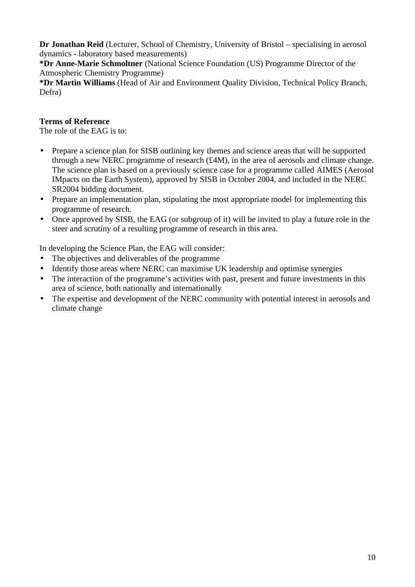**Dr Jonathan Reid** (Lecturer, School of Chemistry, University of Bristol – specialising in aerosol dynamics - laboratory based measurements)

**\*Dr Anne-Marie Schmoltner** (National Science Foundation (US) Programme Director of the Atmospheric Chemistry Programme)

**\*Dr Martin Williams** (Head of Air and Environment Quality Division, Technical Policy Branch, Defra)

# **Terms of Reference**

The role of the EAG is to:

- Prepare a science plan for SISB outlining key themes and science areas that will be supported through a new NERC programme of research (£4M), in the area of aerosols and climate change. The science plan is based on a previously science case for a programme called AIMES (Aerosol IMpacts on the Earth System), approved by SISB in October 2004, and included in the NERC SR2004 bidding document.
- Prepare an implementation plan, stipulating the most appropriate model for implementing this programme of research.
- Once approved by SISB, the EAG (or subgroup of it) will be invited to play a future role in the steer and scrutiny of a resulting programme of research in this area.

In developing the Science Plan, the EAG will consider:

- The objectives and deliverables of the programme
- Identify those areas where NERC can maximise UK leadership and optimise synergies
- The interaction of the programme's activities with past, present and future investments in this area of science, both nationally and internationally
- The expertise and development of the NERC community with potential interest in aerosols and climate change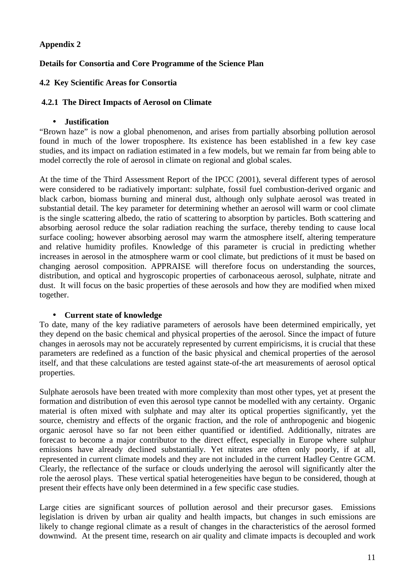## **Details for Consortia and Core Programme of the Science Plan**

#### **4.2 Key Scientific Areas for Consortia**

#### **4.2.1 The Direct Impacts of Aerosol on Climate**

#### • **Justification**

"Brown haze" is now a global phenomenon, and arises from partially absorbing pollution aerosol found in much of the lower troposphere. Its existence has been established in a few key case studies, and its impact on radiation estimated in a few models, but we remain far from being able to model correctly the role of aerosol in climate on regional and global scales.

At the time of the Third Assessment Report of the IPCC (2001), several different types of aerosol were considered to be radiatively important: sulphate, fossil fuel combustion-derived organic and black carbon, biomass burning and mineral dust, although only sulphate aerosol was treated in substantial detail. The key parameter for determining whether an aerosol will warm or cool climate is the single scattering albedo, the ratio of scattering to absorption by particles. Both scattering and absorbing aerosol reduce the solar radiation reaching the surface, thereby tending to cause local surface cooling; however absorbing aerosol may warm the atmosphere itself, altering temperature and relative humidity profiles. Knowledge of this parameter is crucial in predicting whether increases in aerosol in the atmosphere warm or cool climate, but predictions of it must be based on changing aerosol composition. APPRAISE will therefore focus on understanding the sources, distribution, and optical and hygroscopic properties of carbonaceous aerosol, sulphate, nitrate and dust. It will focus on the basic properties of these aerosols and how they are modified when mixed together.

#### • **Current state of knowledge**

To date, many of the key radiative parameters of aerosols have been determined empirically, yet they depend on the basic chemical and physical properties of the aerosol. Since the impact of future changes in aerosols may not be accurately represented by current empiricisms, it is crucial that these parameters are redefined as a function of the basic physical and chemical properties of the aerosol itself, and that these calculations are tested against state-of-the art measurements of aerosol optical properties.

Sulphate aerosols have been treated with more complexity than most other types, yet at present the formation and distribution of even this aerosol type cannot be modelled with any certainty. Organic material is often mixed with sulphate and may alter its optical properties significantly, yet the source, chemistry and effects of the organic fraction, and the role of anthropogenic and biogenic organic aerosol have so far not been either quantified or identified. Additionally, nitrates are forecast to become a major contributor to the direct effect, especially in Europe where sulphur emissions have already declined substantially. Yet nitrates are often only poorly, if at all, represented in current climate models and they are not included in the current Hadley Centre GCM. Clearly, the reflectance of the surface or clouds underlying the aerosol will significantly alter the role the aerosol plays. These vertical spatial heterogeneities have begun to be considered, though at present their effects have only been determined in a few specific case studies.

Large cities are significant sources of pollution aerosol and their precursor gases. Emissions legislation is driven by urban air quality and health impacts, but changes in such emissions are likely to change regional climate as a result of changes in the characteristics of the aerosol formed downwind. At the present time, research on air quality and climate impacts is decoupled and work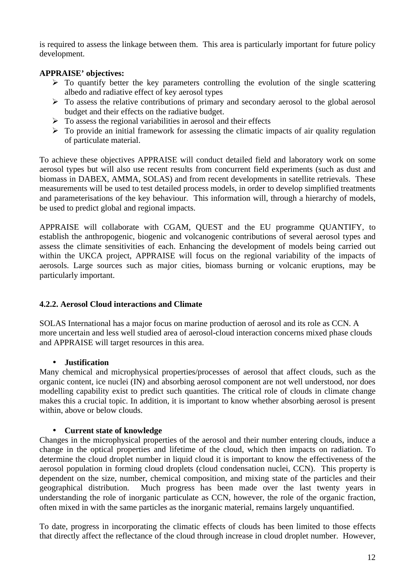is required to assess the linkage between them. This area is particularly important for future policy development.

## **APPRAISE' objectives:**

- $\triangleright$  To quantify better the key parameters controlling the evolution of the single scattering albedo and radiative effect of key aerosol types
- $\triangleright$  To assess the relative contributions of primary and secondary aerosol to the global aerosol budget and their effects on the radiative budget.
- $\triangleright$  To assess the regional variabilities in aerosol and their effects
- $\triangleright$  To provide an initial framework for assessing the climatic impacts of air quality regulation of particulate material.

To achieve these objectives APPRAISE will conduct detailed field and laboratory work on some aerosol types but will also use recent results from concurrent field experiments (such as dust and biomass in DABEX, AMMA, SOLAS) and from recent developments in satellite retrievals. These measurements will be used to test detailed process models, in order to develop simplified treatments and parameterisations of the key behaviour. This information will, through a hierarchy of models, be used to predict global and regional impacts.

APPRAISE will collaborate with CGAM, QUEST and the EU programme QUANTIFY, to establish the anthropogenic, biogenic and volcanogenic contributions of several aerosol types and assess the climate sensitivities of each. Enhancing the development of models being carried out within the UKCA project, APPRAISE will focus on the regional variability of the impacts of aerosols. Large sources such as major cities, biomass burning or volcanic eruptions, may be particularly important.

### **4.2.2. Aerosol Cloud interactions and Climate**

SOLAS International has a major focus on marine production of aerosol and its role as CCN. A more uncertain and less well studied area of aerosol-cloud interaction concerns mixed phase clouds and APPRAISE will target resources in this area.

### • **Justification**

Many chemical and microphysical properties/processes of aerosol that affect clouds, such as the organic content, ice nuclei (IN) and absorbing aerosol component are not well understood, nor does modelling capability exist to predict such quantities. The critical role of clouds in climate change makes this a crucial topic. In addition, it is important to know whether absorbing aerosol is present within, above or below clouds.

### • **Current state of knowledge**

Changes in the microphysical properties of the aerosol and their number entering clouds, induce a change in the optical properties and lifetime of the cloud, which then impacts on radiation. To determine the cloud droplet number in liquid cloud it is important to know the effectiveness of the aerosol population in forming cloud droplets (cloud condensation nuclei, CCN). This property is dependent on the size, number, chemical composition, and mixing state of the particles and their geographical distribution. Much progress has been made over the last twenty years in understanding the role of inorganic particulate as CCN, however, the role of the organic fraction, often mixed in with the same particles as the inorganic material, remains largely unquantified.

To date, progress in incorporating the climatic effects of clouds has been limited to those effects that directly affect the reflectance of the cloud through increase in cloud droplet number. However,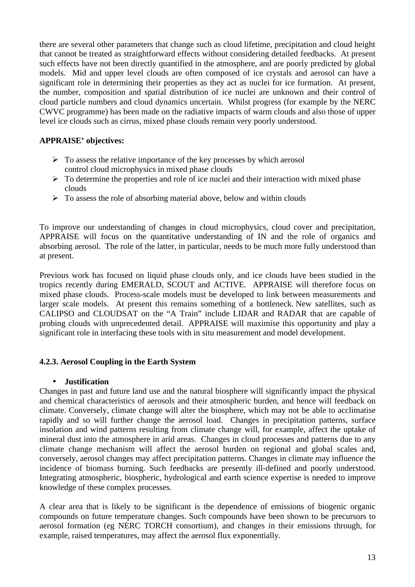there are several other parameters that change such as cloud lifetime, precipitation and cloud height that cannot be treated as straightforward effects without considering detailed feedbacks. At present such effects have not been directly quantified in the atmosphere, and are poorly predicted by global models. Mid and upper level clouds are often composed of ice crystals and aerosol can have a significant role in determining their properties as they act as nuclei for ice formation. At present, the number, composition and spatial distribution of ice nuclei are unknown and their control of cloud particle numbers and cloud dynamics uncertain. Whilst progress (for example by the NERC CWVC programme) has been made on the radiative impacts of warm clouds and also those of upper level ice clouds such as cirrus, mixed phase clouds remain very poorly understood.

#### **APPRAISE' objectives:**

- $\triangleright$  To assess the relative importance of the key processes by which aerosol control cloud microphysics in mixed phase clouds
- $\triangleright$  To determine the properties and role of ice nuclei and their interaction with mixed phase clouds
- $\triangleright$  To assess the role of absorbing material above, below and within clouds

To improve our understanding of changes in cloud microphysics, cloud cover and precipitation, APPRAISE will focus on the quantitative understanding of IN and the role of organics and absorbing aerosol. The role of the latter, in particular, needs to be much more fully understood than at present.

Previous work has focused on liquid phase clouds only, and ice clouds have been studied in the tropics recently during EMERALD, SCOUT and ACTIVE. APPRAISE will therefore focus on mixed phase clouds. Process-scale models must be developed to link between measurements and larger scale models. At present this remains something of a bottleneck. New satellites, such as CALIPSO and CLOUDSAT on the "A Train" include LIDAR and RADAR that are capable of probing clouds with unprecedented detail. APPRAISE will maximise this opportunity and play a significant role in interfacing these tools with in situ measurement and model development.

### **4.2.3. Aerosol Coupling in the Earth System**

#### • **Justification**

Changes in past and future land use and the natural biosphere will significantly impact the physical and chemical characteristics of aerosols and their atmospheric burden, and hence will feedback on climate. Conversely, climate change will alter the biosphere, which may not be able to acclimatise rapidly and so will further change the aerosol load. Changes in precipitation patterns, surface insolation and wind patterns resulting from climate change will, for example, affect the uptake of mineral dust into the atmosphere in arid areas. Changes in cloud processes and patterns due to any climate change mechanism will affect the aerosol burden on regional and global scales and, conversely, aerosol changes may affect precipitation patterns. Changes in climate may influence the incidence of biomass burning. Such feedbacks are presently ill-defined and poorly understood. Integrating atmospheric, biospheric, hydrological and earth science expertise is needed to improve knowledge of these complex processes.

A clear area that is likely to be significant is the dependence of emissions of biogenic organic compounds on future temperature changes. Such compounds have been shown to be precursors to aerosol formation (eg NERC TORCH consortium), and changes in their emissions through, for example, raised temperatures, may affect the aerosol flux exponentially.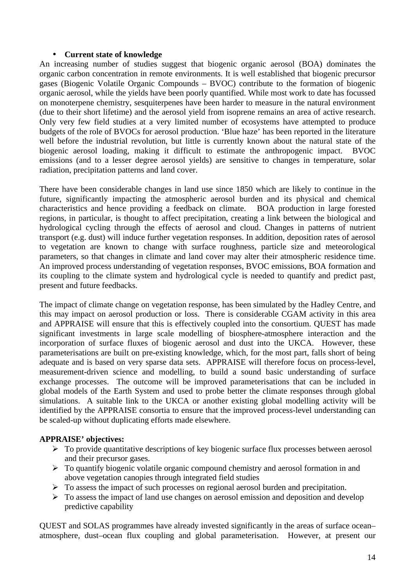#### • **Current state of knowledge**

An increasing number of studies suggest that biogenic organic aerosol (BOA) dominates the organic carbon concentration in remote environments. It is well established that biogenic precursor gases (Biogenic Volatile Organic Compounds – BVOC) contribute to the formation of biogenic organic aerosol, while the yields have been poorly quantified. While most work to date has focussed on monoterpene chemistry, sesquiterpenes have been harder to measure in the natural environment (due to their short lifetime) and the aerosol yield from isoprene remains an area of active research. Only very few field studies at a very limited number of ecosystems have attempted to produce budgets of the role of BVOCs for aerosol production. 'Blue haze' has been reported in the literature well before the industrial revolution, but little is currently known about the natural state of the biogenic aerosol loading, making it difficult to estimate the anthropogenic impact. BVOC emissions (and to a lesser degree aerosol yields) are sensitive to changes in temperature, solar radiation, precipitation patterns and land cover.

There have been considerable changes in land use since 1850 which are likely to continue in the future, significantly impacting the atmospheric aerosol burden and its physical and chemical characteristics and hence providing a feedback on climate. BOA production in large forested regions, in particular, is thought to affect precipitation, creating a link between the biological and hydrological cycling through the effects of aerosol and cloud. Changes in patterns of nutrient transport (e.g. dust) will induce further vegetation responses. In addition, deposition rates of aerosol to vegetation are known to change with surface roughness, particle size and meteorological parameters, so that changes in climate and land cover may alter their atmospheric residence time. An improved process understanding of vegetation responses, BVOC emissions, BOA formation and its coupling to the climate system and hydrological cycle is needed to quantify and predict past, present and future feedbacks.

The impact of climate change on vegetation response, has been simulated by the Hadley Centre, and this may impact on aerosol production or loss. There is considerable CGAM activity in this area and APPRAISE will ensure that this is effectively coupled into the consortium. QUEST has made significant investments in large scale modelling of biosphere-atmosphere interaction and the incorporation of surface fluxes of biogenic aerosol and dust into the UKCA. However, these parameterisations are built on pre-existing knowledge, which, for the most part, falls short of being adequate and is based on very sparse data sets. APPRAISE will therefore focus on process-level, measurement-driven science and modelling, to build a sound basic understanding of surface exchange processes. The outcome will be improved parameterisations that can be included in global models of the Earth System and used to probe better the climate responses through global simulations. A suitable link to the UKCA or another existing global modelling activity will be identified by the APPRAISE consortia to ensure that the improved process-level understanding can be scaled-up without duplicating efforts made elsewhere.

### **APPRAISE' objectives:**

- $\triangleright$  To provide quantitative descriptions of key biogenic surface flux processes between aerosol and their precursor gases.
- $\triangleright$  To quantify biogenic volatile organic compound chemistry and aerosol formation in and above vegetation canopies through integrated field studies
- $\triangleright$  To assess the impact of such processes on regional aerosol burden and precipitation.
- $\triangleright$  To assess the impact of land use changes on aerosol emission and deposition and develop predictive capability

QUEST and SOLAS programmes have already invested significantly in the areas of surface ocean– atmosphere, dust–ocean flux coupling and global parameterisation. However, at present our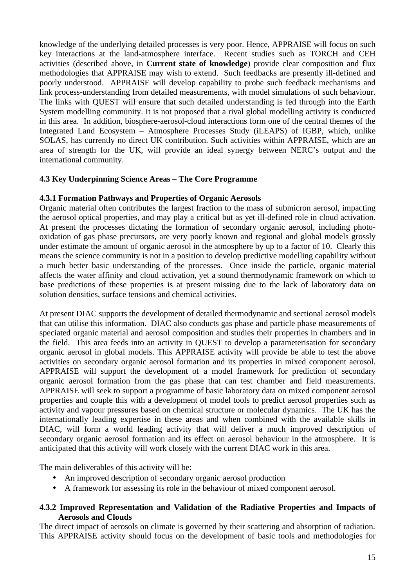knowledge of the underlying detailed processes is very poor. Hence, APPRAISE will focus on such key interactions at the land-atmosphere interface. Recent studies such as TORCH and CEH activities (described above, in **Current state of knowledge**) provide clear composition and flux methodologies that APPRAISE may wish to extend. Such feedbacks are presently ill-defined and poorly understood. APPRAISE will develop capability to probe such feedback mechanisms and link process-understanding from detailed measurements, with model simulations of such behaviour. The links with QUEST will ensure that such detailed understanding is fed through into the Earth System modelling community. It is not proposed that a rival global modelling activity is conducted in this area. In addition, biosphere-aerosol-cloud interactions form one of the central themes of the Integrated Land Ecosystem – Atmosphere Processes Study (iLEAPS) of IGBP, which, unlike SOLAS, has currently no direct UK contribution. Such activities within APPRAISE, which are an area of strength for the UK, will provide an ideal synergy between NERC's output and the international community.

### **4.3 Key Underpinning Science Areas – The Core Programme**

### **4.3.1 Formation Pathways and Properties of Organic Aerosols**

Organic material often contributes the largest fraction to the mass of submicron aerosol, impacting the aerosol optical properties, and may play a critical but as yet ill-defined role in cloud activation. At present the processes dictating the formation of secondary organic aerosol, including photooxidation of gas phase precursors, are very poorly known and regional and global models grossly under estimate the amount of organic aerosol in the atmosphere by up to a factor of 10. Clearly this means the science community is not in a position to develop predictive modelling capability without a much better basic understanding of the processes. Once inside the particle, organic material affects the water affinity and cloud activation, yet a sound thermodynamic framework on which to base predictions of these properties is at present missing due to the lack of laboratory data on solution densities, surface tensions and chemical activities.

At present DIAC supports the development of detailed thermodynamic and sectional aerosol models that can utilise this information. DIAC also conducts gas phase and particle phase measurements of speciated organic material and aerosol composition and studies their properties in chambers and in the field. This area feeds into an activity in QUEST to develop a parameterisation for secondary organic aerosol in global models. This APPRAISE activity will provide be able to test the above activities on secondary organic aerosol formation and its properties in mixed component aerosol. APPRAISE will support the development of a model framework for prediction of secondary organic aerosol formation from the gas phase that can test chamber and field measurements. APPRAISE will seek to support a programme of basic laboratory data on mixed component aerosol properties and couple this with a development of model tools to predict aerosol properties such as activity and vapour pressures based on chemical structure or molecular dynamics. The UK has the internationally leading expertise in these areas and when combined with the available skills in DIAC, will form a world leading activity that will deliver a much improved description of secondary organic aerosol formation and its effect on aerosol behaviour in the atmosphere. It is anticipated that this activity will work closely with the current DIAC work in this area.

The main deliverables of this activity will be:

- An improved description of secondary organic aerosol production
- A framework for assessing its role in the behaviour of mixed component aerosol.

#### **4.3.2 Improved Representation and Validation of the Radiative Properties and Impacts of Aerosols and Clouds**

The direct impact of aerosols on climate is governed by their scattering and absorption of radiation. This APPRAISE activity should focus on the development of basic tools and methodologies for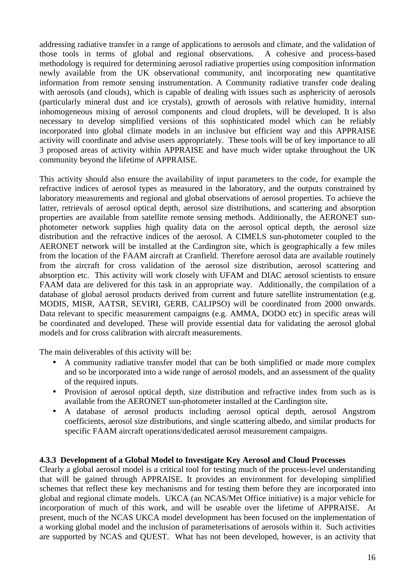addressing radiative transfer in a range of applications to aerosols and climate, and the validation of those tools in terms of global and regional observations. A cohesive and process-based methodology is required for determining aerosol radiative properties using composition information newly available from the UK observational community, and incorporating new quantitative information from remote sensing instrumentation. A Community radiative transfer code dealing with aerosols (and clouds), which is capable of dealing with issues such as asphericity of aerosols (particularly mineral dust and ice crystals), growth of aerosols with relative humidity, internal inhomogeneous mixing of aerosol components and cloud droplets, will be developed. It is also necessary to develop simplified versions of this sophisticated model which can be reliably incorporated into global climate models in an inclusive but efficient way and this APPRAISE activity will coordinate and advise users appropriately. These tools will be of key importance to all 3 proposed areas of activity within APPRAISE and have much wider uptake throughout the UK community beyond the lifetime of APPRAISE.

This activity should also ensure the availability of input parameters to the code, for example the refractive indices of aerosol types as measured in the laboratory, and the outputs constrained by laboratory measurements and regional and global observations of aerosol properties. To achieve the latter, retrievals of aerosol optical depth, aerosol size distributions, and scattering and absorption properties are available from satellite remote sensing methods. Additionally, the AERONET sunphotometer network supplies high quality data on the aerosol optical depth, the aerosol size distribution and the refractive indices of the aerosol. A CIMELS sun-photometer coupled to the AERONET network will be installed at the Cardington site, which is geographically a few miles from the location of the FAAM aircraft at Cranfield. Therefore aerosol data are available routinely from the aircraft for cross validation of the aerosol size distribution, aerosol scattering and absorption etc. This activity will work closely with UFAM and DIAC aerosol scientists to ensure FAAM data are delivered for this task in an appropriate way. Additionally, the compilation of a database of global aerosol products derived from current and future satellite instrumentation (e.g. MODIS, MISR, AATSR, SEVIRI, GERB, CALIPSO) will be coordinated from 2000 onwards. Data relevant to specific measurement campaigns (e.g. AMMA, DODO etc) in specific areas will be coordinated and developed. These will provide essential data for validating the aerosol global models and for cross calibration with aircraft measurements.

The main deliverables of this activity will be:

- A community radiative transfer model that can be both simplified or made more complex and so be incorporated into a wide range of aerosol models, and an assessment of the quality of the required inputs.
- Provision of aerosol optical depth, size distribution and refractive index from such as is available from the AERONET sun-photometer installed at the Cardington site.
- A database of aerosol products including aerosol optical depth, aerosol Angstrom coefficients, aerosol size distributions, and single scattering albedo, and similar products for specific FAAM aircraft operations/dedicated aerosol measurement campaigns.

#### **4.3.3 Development of a Global Model to Investigate Key Aerosol and Cloud Processes**

Clearly a global aerosol model is a critical tool for testing much of the process-level understanding that will be gained through APPRAISE. It provides an environment for developing simplified schemes that reflect these key mechanisms and for testing them before they are incorporated into global and regional climate models. UKCA (an NCAS/Met Office initiative) is a major vehicle for incorporation of much of this work, and will be useable over the lifetime of APPRAISE. At present, much of the NCAS UKCA model development has been focused on the implementation of a working global model and the inclusion of parameterisations of aerosols within it. Such activities are supported by NCAS and QUEST. What has not been developed, however, is an activity that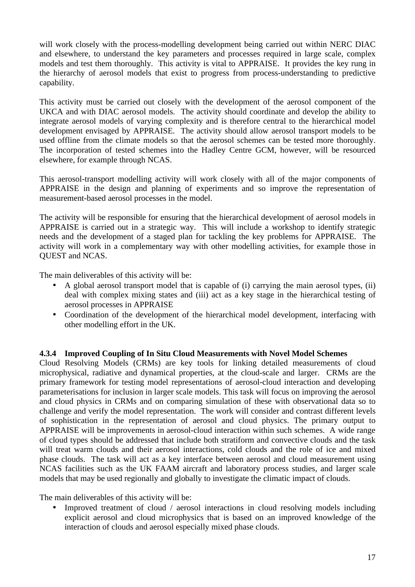will work closely with the process-modelling development being carried out within NERC DIAC and elsewhere, to understand the key parameters and processes required in large scale, complex models and test them thoroughly. This activity is vital to APPRAISE. It provides the key rung in the hierarchy of aerosol models that exist to progress from process-understanding to predictive capability.

This activity must be carried out closely with the development of the aerosol component of the UKCA and with DIAC aerosol models. The activity should coordinate and develop the ability to integrate aerosol models of varying complexity and is therefore central to the hierarchical model development envisaged by APPRAISE. The activity should allow aerosol transport models to be used offline from the climate models so that the aerosol schemes can be tested more thoroughly. The incorporation of tested schemes into the Hadley Centre GCM, however, will be resourced elsewhere, for example through NCAS.

This aerosol-transport modelling activity will work closely with all of the major components of APPRAISE in the design and planning of experiments and so improve the representation of measurement-based aerosol processes in the model.

The activity will be responsible for ensuring that the hierarchical development of aerosol models in APPRAISE is carried out in a strategic way. This will include a workshop to identify strategic needs and the development of a staged plan for tackling the key problems for APPRAISE. The activity will work in a complementary way with other modelling activities, for example those in QUEST and NCAS.

The main deliverables of this activity will be:

- A global aerosol transport model that is capable of (i) carrying the main aerosol types, (ii) deal with complex mixing states and (iii) act as a key stage in the hierarchical testing of aerosol processes in APPRAISE
- Coordination of the development of the hierarchical model development, interfacing with other modelling effort in the UK.

### **4.3.4 Improved Coupling of In Situ Cloud Measurements with Novel Model Schemes**

Cloud Resolving Models (CRMs) are key tools for linking detailed measurements of cloud microphysical, radiative and dynamical properties, at the cloud-scale and larger. CRMs are the primary framework for testing model representations of aerosol-cloud interaction and developing parameterisations for inclusion in larger scale models. This task will focus on improving the aerosol and cloud physics in CRMs and on comparing simulation of these with observational data so to challenge and verify the model representation. The work will consider and contrast different levels of sophistication in the representation of aerosol and cloud physics. The primary output to APPRAISE will be improvements in aerosol-cloud interaction within such schemes. A wide range of cloud types should be addressed that include both stratiform and convective clouds and the task will treat warm clouds and their aerosol interactions, cold clouds and the role of ice and mixed phase clouds. The task will act as a key interface between aerosol and cloud measurement using NCAS facilities such as the UK FAAM aircraft and laboratory process studies, and larger scale models that may be used regionally and globally to investigate the climatic impact of clouds.

The main deliverables of this activity will be:

• Improved treatment of cloud / aerosol interactions in cloud resolving models including explicit aerosol and cloud microphysics that is based on an improved knowledge of the interaction of clouds and aerosol especially mixed phase clouds.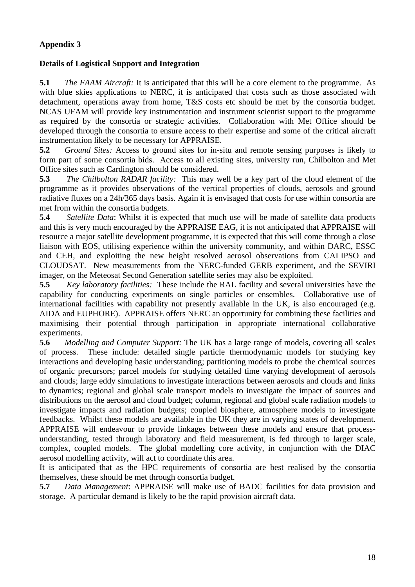## **Details of Logistical Support and Integration**

**5.1** *The FAAM Aircraft:* It is anticipated that this will be a core element to the programme. As with blue skies applications to NERC, it is anticipated that costs such as those associated with detachment, operations away from home, T&S costs etc should be met by the consortia budget. NCAS UFAM will provide key instrumentation and instrument scientist support to the programme as required by the consortia or strategic activities. Collaboration with Met Office should be developed through the consortia to ensure access to their expertise and some of the critical aircraft instrumentation likely to be necessary for APPRAISE.

**5.2** *Ground Sites:* Access to ground sites for in-situ and remote sensing purposes is likely to form part of some consortia bids. Access to all existing sites, university run, Chilbolton and Met Office sites such as Cardington should be considered.

**5.3** *The Chilbolton RADAR facility:* This may well be a key part of the cloud element of the programme as it provides observations of the vertical properties of clouds, aerosols and ground radiative fluxes on a 24h/365 days basis. Again it is envisaged that costs for use within consortia are met from within the consortia budgets.

**5.4** *Satellite Data*: Whilst it is expected that much use will be made of satellite data products and this is very much encouraged by the APPRAISE EAG, it is not anticipated that APPRAISE will resource a major satellite development programme, it is expected that this will come through a close liaison with EOS, utilising experience within the university community, and within DARC, ESSC and CEH, and exploiting the new height resolved aerosol observations from CALIPSO and CLOUDSAT. New measurements from the NERC-funded GERB experiment, and the SEVIRI imager, on the Meteosat Second Generation satellite series may also be exploited.

**5.5** *Key laboratory facilities:* These include the RAL facility and several universities have the capability for conducting experiments on single particles or ensembles. Collaborative use of international facilities with capability not presently available in the UK, is also encouraged (e.g. AIDA and EUPHORE). APPRAISE offers NERC an opportunity for combining these facilities and maximising their potential through participation in appropriate international collaborative experiments.

**5.6** *Modelling and Computer Support:* The UK has a large range of models, covering all scales of process. These include: detailed single particle thermodynamic models for studying key interactions and developing basic understanding; partitioning models to probe the chemical sources of organic precursors; parcel models for studying detailed time varying development of aerosols and clouds; large eddy simulations to investigate interactions between aerosols and clouds and links to dynamics; regional and global scale transport models to investigate the impact of sources and distributions on the aerosol and cloud budget; column, regional and global scale radiation models to investigate impacts and radiation budgets; coupled biosphere, atmosphere models to investigate feedbacks. Whilst these models are available in the UK they are in varying states of development. APPRAISE will endeavour to provide linkages between these models and ensure that processunderstanding, tested through laboratory and field measurement, is fed through to larger scale, complex, coupled models. The global modelling core activity, in conjunction with the DIAC aerosol modelling activity, will act to coordinate this area.

It is anticipated that as the HPC requirements of consortia are best realised by the consortia themselves, these should be met through consortia budget.

**5.7** *Data Management*: APPRAISE will make use of BADC facilities for data provision and storage. A particular demand is likely to be the rapid provision aircraft data.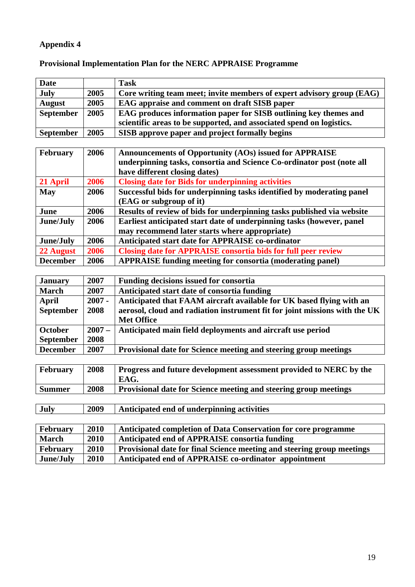| <b>Date</b>      |      | <b>Task</b>                                                           |
|------------------|------|-----------------------------------------------------------------------|
| <b>July</b>      | 2005 | Core writing team meet; invite members of expert advisory group (EAG) |
| <b>August</b>    | 2005 | EAG appraise and comment on draft SISB paper                          |
| <b>September</b> | 2005 | EAG produces information paper for SISB outlining key themes and      |
|                  |      | scientific areas to be supported, and associated spend on logistics.  |
| <b>September</b> | 2005 | SISB approve paper and project formally begins                        |
|                  |      |                                                                       |
|                  |      |                                                                       |
| <b>February</b>  | 2006 | <b>Announcements of Opportunity (AOs) issued for APPRAISE</b>         |
|                  |      | underpinning tasks, consortia and Science Co-ordinator post (note all |
|                  |      | have different closing dates)                                         |
| 21 April         | 2006 | <b>Closing date for Bids for underpinning activities</b>              |
| <b>May</b>       | 2006 | Successful bids for underpinning tasks identified by moderating panel |
|                  |      | (EAG or subgroup of it)                                               |

# **Provisional Implementation Plan for the NERC APPRAISE Programme**

|      | may recommend later starts where appropriate)                        |
|------|----------------------------------------------------------------------|
| 2006 | Anticipated start date for APPRAISE co-ordinator                     |
| 2006 | <b>Closing date for APPRAISE consortia bids for full peer review</b> |
| 2006 | <b>APPRAISE funding meeting for consortia (moderating panel)</b>     |
|      |                                                                      |
| 2007 | <b>Funding decisions issued for consortia</b>                        |
|      |                                                                      |

**June/July 2006 Earliest anticipated start date of underpinning tasks (however, panel** 

| January          | 2007     | <b>Funding decisions issued for consortia</b>                              |
|------------------|----------|----------------------------------------------------------------------------|
| <b>March</b>     | 2007     | Anticipated start date of consortia funding                                |
| April            | $2007 -$ | Anticipated that FAAM aircraft available for UK based flying with an       |
| September        | 2008     | aerosol, cloud and radiation instrument fit for joint missions with the UK |
|                  |          | <b>Met Office</b>                                                          |
| <b>October</b>   | $2007 -$ | Anticipated main field deployments and aircraft use period                 |
| <b>September</b> | 2008     |                                                                            |
| <b>December</b>  | 2007     | Provisional date for Science meeting and steering group meetings           |

| <b>February</b> | 2008 | <b>Progress and future development assessment provided to NERC by the</b><br>EAG. |
|-----------------|------|-----------------------------------------------------------------------------------|
| <b>Summer</b>   | 2008 | Provisional date for Science meeting and steering group meetings                  |

| <b>July</b> | 2009 | Anticipated end of underpinning activities |
|-------------|------|--------------------------------------------|
|             |      |                                            |

| <b>February</b> | 2010 | Anticipated completion of Data Conservation for core programme         |
|-----------------|------|------------------------------------------------------------------------|
| <b>March</b>    | 2010 | Anticipated end of APPRAISE consortia funding                          |
| February        | 2010 | Provisional date for final Science meeting and steering group meetings |
| June/July       | 2010 | Anticipated end of APPRAISE co-ordinator appointment                   |